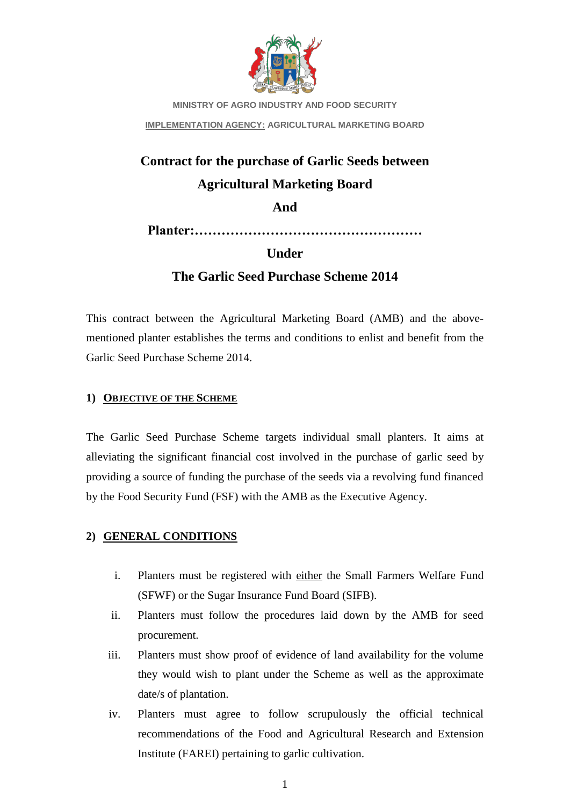

**MINISTRY OF AGRO INDUSTRY AND FOOD SECURITY IMPLEMENTATION AGENCY: AGRICULTURAL MARKETING BOARD**

# **Contract for the purchase of Garlic Seeds between Agricultural Marketing Board**

**And**

**Planter:……………………………………………**

## **Under**

## **The Garlic Seed Purchase Scheme 2014**

This contract between the Agricultural Marketing Board (AMB) and the abovementioned planter establishes the terms and conditions to enlist and benefit from the Garlic Seed Purchase Scheme 2014.

## **1) OBJECTIVE OF THE SCHEME**

The Garlic Seed Purchase Scheme targets individual small planters. It aims at alleviating the significant financial cost involved in the purchase of garlic seed by providing a source of funding the purchase of the seeds via a revolving fund financed by the Food Security Fund (FSF) with the AMB as the Executive Agency.

## **2) GENERAL CONDITIONS**

- i. Planters must be registered with either the Small Farmers Welfare Fund (SFWF) or the Sugar Insurance Fund Board (SIFB).
- ii. Planters must follow the procedures laid down by the AMB for seed procurement.
- iii. Planters must show proof of evidence of land availability for the volume they would wish to plant under the Scheme as well as the approximate date/s of plantation.
- iv. Planters must agree to follow scrupulously the official technical recommendations of the Food and Agricultural Research and Extension Institute (FAREI) pertaining to garlic cultivation.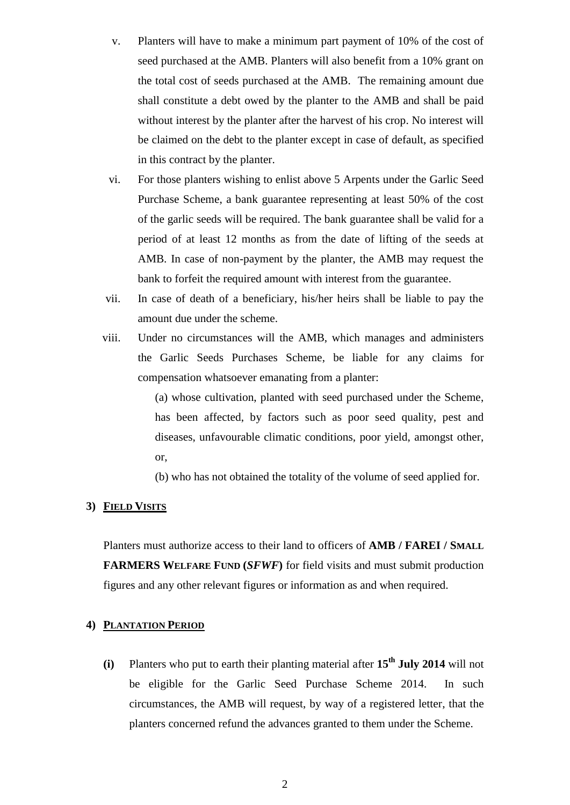- v. Planters will have to make a minimum part payment of 10% of the cost of seed purchased at the AMB. Planters will also benefit from a 10% grant on the total cost of seeds purchased at the AMB. The remaining amount due shall constitute a debt owed by the planter to the AMB and shall be paid without interest by the planter after the harvest of his crop. No interest will be claimed on the debt to the planter except in case of default, as specified in this contract by the planter.
- vi. For those planters wishing to enlist above 5 Arpents under the Garlic Seed Purchase Scheme, a bank guarantee representing at least 50% of the cost of the garlic seeds will be required. The bank guarantee shall be valid for a period of at least 12 months as from the date of lifting of the seeds at AMB. In case of non-payment by the planter, the AMB may request the bank to forfeit the required amount with interest from the guarantee.
- vii. In case of death of a beneficiary, his/her heirs shall be liable to pay the amount due under the scheme.
- viii. Under no circumstances will the AMB, which manages and administers the Garlic Seeds Purchases Scheme, be liable for any claims for compensation whatsoever emanating from a planter:

(a) whose cultivation, planted with seed purchased under the Scheme, has been affected, by factors such as poor seed quality, pest and diseases, unfavourable climatic conditions, poor yield, amongst other, or,

(b) who has not obtained the totality of the volume of seed applied for.

#### **3) FIELD VISITS**

Planters must authorize access to their land to officers of **AMB / FAREI / SMALL FARMERS WELFARE FUND (***SFWF***)** for field visits and must submit production figures and any other relevant figures or information as and when required.

### **4) PLANTATION PERIOD**

**(i)** Planters who put to earth their planting material after **15th July 2014** will not be eligible for the Garlic Seed Purchase Scheme 2014. In such circumstances, the AMB will request, by way of a registered letter, that the planters concerned refund the advances granted to them under the Scheme.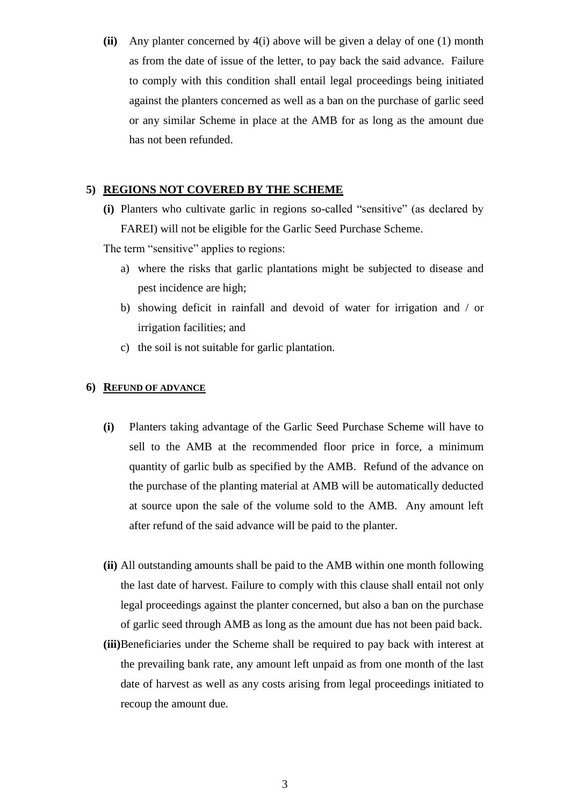**(ii)** Any planter concerned by 4(i) above will be given a delay of one (1) month as from the date of issue of the letter, to pay back the said advance. Failure to comply with this condition shall entail legal proceedings being initiated against the planters concerned as well as a ban on the purchase of garlic seed or any similar Scheme in place at the AMB for as long as the amount due has not been refunded.

### **5) REGIONS NOT COVERED BY THE SCHEME**

**(i)** Planters who cultivate garlic in regions so-called "sensitive" (as declared by FAREI) will not be eligible for the Garlic Seed Purchase Scheme.

The term "sensitive" applies to regions:

- a) where the risks that garlic plantations might be subjected to disease and pest incidence are high;
- b) showing deficit in rainfall and devoid of water for irrigation and / or irrigation facilities; and
- c) the soil is not suitable for garlic plantation.

#### **6) REFUND OF ADVANCE**

- **(i)** Planters taking advantage of the Garlic Seed Purchase Scheme will have to sell to the AMB at the recommended floor price in force, a minimum quantity of garlic bulb as specified by the AMB. Refund of the advance on the purchase of the planting material at AMB will be automatically deducted at source upon the sale of the volume sold to the AMB. Any amount left after refund of the said advance will be paid to the planter.
- **(ii)** All outstanding amounts shall be paid to the AMB within one month following the last date of harvest. Failure to comply with this clause shall entail not only legal proceedings against the planter concerned, but also a ban on the purchase of garlic seed through AMB as long as the amount due has not been paid back.
- **(iii)**Beneficiaries under the Scheme shall be required to pay back with interest at the prevailing bank rate, any amount left unpaid as from one month of the last date of harvest as well as any costs arising from legal proceedings initiated to recoup the amount due.